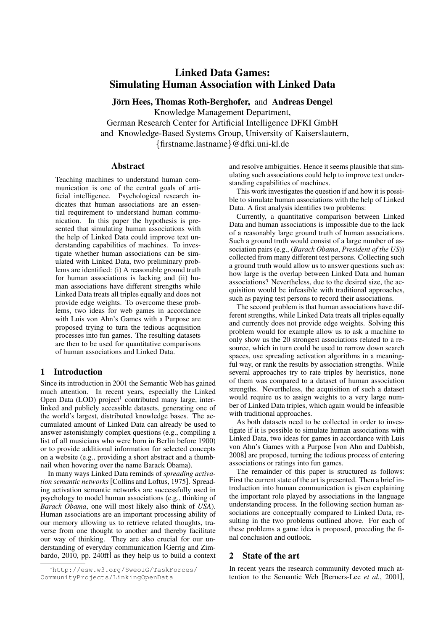# Linked Data Games: Simulating Human Association with Linked Data

Jörn Hees, Thomas Roth-Berghofer, and Andreas Dengel Knowledge Management Department, German Research Center for Artificial Intelligence DFKI GmbH and Knowledge-Based Systems Group, University of Kaiserslautern, {firstname.lastname}@dfki.uni-kl.de

### Abstract

Teaching machines to understand human communication is one of the central goals of artificial intelligence. Psychological research indicates that human associations are an essential requirement to understand human communication. In this paper the hypothesis is presented that simulating human associations with the help of Linked Data could improve text understanding capabilities of machines. To investigate whether human associations can be simulated with Linked Data, two preliminary problems are identified: (i) A reasonable ground truth for human associations is lacking and (ii) human associations have different strengths while Linked Data treats all triples equally and does not provide edge weights. To overcome these problems, two ideas for web games in accordance with Luis von Ahn's Games with a Purpose are proposed trying to turn the tedious acquisition processes into fun games. The resulting datasets are then to be used for quantitative comparisons of human associations and Linked Data.

### 1 Introduction

Since its introduction in 2001 the Semantic Web has gained much attention. In recent years, especially the Linked Open Data (LOD) project<sup>1</sup> contributed many large, interlinked and publicly accessible datasets, generating one of the world's largest, distributed knowledge bases. The accumulated amount of Linked Data can already be used to answer astonishingly complex questions (e.g., compiling a list of all musicians who were born in Berlin before 1900) or to provide additional information for selected concepts on a website (e.g., providing a short abstract and a thumbnail when hovering over the name Barack Obama).

In many ways Linked Data reminds of *spreading activation semantic networks* [\[Collins and Loftus, 1975\]](#page-5-0). Spreading activation semantic networks are successfully used in psychology to model human associations (e.g., thinking of *Barack Obama*, one will most likely also think of *USA*). Human associations are an important processing ability of our memory allowing us to retrieve related thoughts, traverse from one thought to another and thereby facilitate our way of thinking. They are also crucial for our understanding of everyday communication [\[Gerrig and Zim](#page-5-1)[bardo, 2010,](#page-5-1) pp. 240ff] as they help us to build a context and resolve ambiguities. Hence it seems plausible that simulating such associations could help to improve text understanding capabilities of machines.

This work investigates the question if and how it is possible to simulate human associations with the help of Linked Data. A first analysis identifies two problems:

Currently, a quantitative comparison between Linked Data and human associations is impossible due to the lack of a reasonably large ground truth of human associations. Such a ground truth would consist of a large number of association pairs (e.g., (*Barack Obama*, *President of the US*)) collected from many different test persons. Collecting such a ground truth would allow us to answer questions such as: how large is the overlap between Linked Data and human associations? Nevertheless, due to the desired size, the acquisition would be infeasible with traditional approaches, such as paying test persons to record their associations.

The second problem is that human associations have different strengths, while Linked Data treats all triples equally and currently does not provide edge weights. Solving this problem would for example allow us to ask a machine to only show us the 20 strongest associations related to a resource, which in turn could be used to narrow down search spaces, use spreading activation algorithms in a meaningful way, or rank the results by association strengths. While several approaches try to rate triples by heuristics, none of them was compared to a dataset of human association strengths. Nevertheless, the acquisition of such a dataset would require us to assign weights to a very large number of Linked Data triples, which again would be infeasible with traditional approaches.

As both datasets need to be collected in order to investigate if it is possible to simulate human associations with Linked Data, two ideas for games in accordance with Luis von Ahn's Games with a Purpose [\[von Ahn and Dabbish,](#page-5-2) [2008\]](#page-5-2) are proposed, turning the tedious process of entering associations or ratings into fun games.

The remainder of this paper is structured as follows: First the current state of the art is presented. Then a brief introduction into human communication is given explaining the important role played by associations in the language understanding process. In the following section human associations are conceptually compared to Linked Data, resulting in the two problems outlined above. For each of these problems a game idea is proposed, preceding the final conclusion and outlook.

### 2 State of the art

In recent years the research community devoted much attention to the Semantic Web [\[Berners-Lee](#page-5-3) *et al.*, 2001],

<sup>1</sup>[http://esw.w3.org/SweoIG/TaskForces/](http://esw.w3.org/SweoIG/TaskForces/CommunityProjects/LinkingOpenData) [CommunityProjects/LinkingOpenData](http://esw.w3.org/SweoIG/TaskForces/CommunityProjects/LinkingOpenData)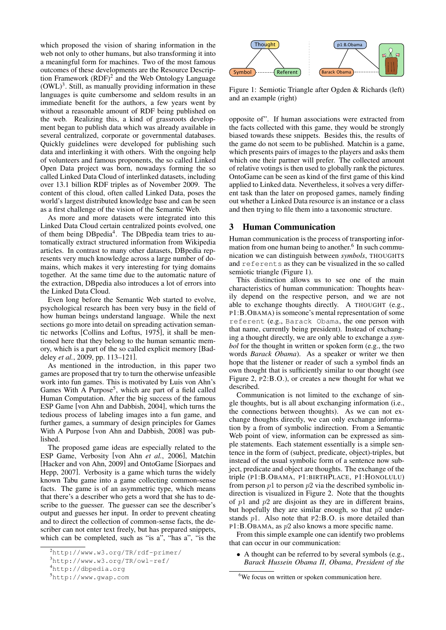which proposed the vision of sharing information in the web not only to other humans, but also transforming it into a meaningful form for machines. Two of the most famous outcomes of these developments are the Resource Description Framework  $(RDF)^2$  and the Web Ontology Language  $(OWL)<sup>3</sup>$ . Still, as manually providing information in these languages is quite cumbersome and seldom results in an immediate benefit for the authors, a few years went by without a reasonable amount of RDF being published on the web. Realizing this, a kind of grassroots development began to publish data which was already available in several centralized, corporate or governmental databases. Quickly guidelines were developed for publishing such data and interlinking it with others. With the ongoing help of volunteers and famous proponents, the so called Linked Open Data project was born, nowadays forming the so called Linked Data Cloud of interlinked datasets, including over 13.1 billion RDF triples as of November 2009. The content of this cloud, often called Linked Data, poses the world's largest distributed knowledge base and can be seen as a first challenge of the vision of the Semantic Web.

As more and more datasets were integrated into this Linked Data Cloud certain centralized points evolved, one of them being DBpedia<sup>4</sup>. The DBpedia team tries to automatically extract structured information from Wikipedia articles. In contrast to many other datasets, DBpedia represents very much knowledge across a large number of domains, which makes it very interesting for tying domains together. At the same time due to the automatic nature of the extraction, DBpedia also introduces a lot of errors into the Linked Data Cloud.

Even long before the Semantic Web started to evolve, psychological research has been very busy in the field of how human beings understand language. While the next sections go more into detail on spreading activation semantic networks [\[Collins and Loftus, 1975\]](#page-5-0), it shall be mentioned here that they belong to the human semantic memory, which is a part of the so called explicit memory [\[Bad](#page-5-4)deley *et al.*[, 2009,](#page-5-4) pp. 113–121].

As mentioned in the introduction, in this paper two games are proposed that try to turn the otherwise unfeasible work into fun games. This is motivated by Luis von Ahn's Games With A Purpose<sup>5</sup>, which are part of a field called Human Computation. After the big success of the famous ESP Game [\[von Ahn and Dabbish, 2004\]](#page-5-5), which turns the tedious process of labeling images into a fun game, and further games, a summary of design principles for Games With A Purpose [\[von Ahn and Dabbish, 2008\]](#page-5-2) was published.

The proposed game ideas are especially related to the ESP Game, Verbosity [\[von Ahn](#page-5-6) *et al.*, 2006], Matchin [\[Hacker and von Ahn, 2009\]](#page-5-7) and OntoGame [\[Siorpaes and](#page-5-8) [Hepp, 2007\]](#page-5-8). Verbosity is a game which turns the widely known Tabu game into a game collecting common-sense facts. The game is of an asymmetric type, which means that there's a describer who gets a word that she has to describe to the guesser. The guesser can see the describer's output and guesses her input. In order to prevent cheating and to direct the collection of common-sense facts, the describer can not enter text freely, but has prepared snippets, which can be completed, such as "is a", "has a", "is the



<span id="page-1-0"></span>Figure 1: Semiotic Triangle after Ogden & Richards (left) and an example (right)

opposite of". If human associations were extracted from the facts collected with this game, they would be strongly biased towards these snippets. Besides this, the results of the game do not seem to be published. Matchin is a game, which presents pairs of images to the players and asks them which one their partner will prefer. The collected amount of relative votings is then used to globally rank the pictures. OntoGame can be seen as kind of the first game of this kind applied to Linked data. Nevertheless, it solves a very different task than the later on proposed games, namely finding out whether a Linked Data resource is an instance or a class and then trying to file them into a taxonomic structure.

### 3 Human Communication

Human communication is the process of transporting information from one human being to another.<sup>6</sup> In such communication we can distinguish between *symbols*, THOUGHTS and referents as they can be visualized in the so called semiotic triangle (Figure [1\)](#page-1-0).

This distinction allows us to see one of the main characteristics of human communication: Thoughts heavily depend on the respective person, and we are not able to exchange thoughts directly. A THOUGHT (e.g., P1:B.OBAMA) is someone's mental representation of some referent (e.g., Barack Obama, the one person with that name, currently being president). Instead of exchanging a thought directly, we are only able to exchange a *symbol* for the thought in written or spoken form (e.g., the two words *Barack Obama*). As a speaker or writer we then hope that the listener or reader of such a symbol finds an own thought that is sufficiently similar to our thought (see Figure [2,](#page-2-0) P2:B.O.), or creates a new thought for what we described.

Communication is not limited to the exchange of single thoughts, but is all about exchanging information (i.e., the connections between thoughts). As we can not exchange thoughts directly, we can only exchange information by a from of symbolic indirection. From a Semantic Web point of view, information can be expressed as simple statements. Each statement essentially is a simple sentence in the form of (subject, predicate, object)-triples, but instead of the usual symbolic form of a sentence now subject, predicate and object are thoughts. The exchange of the triple (P1:B.OBAMA, P1:BIRTHPLACE, P1:HONOLULU) from person  $p1$  to person  $p2$  via the described symbolic indirection is visualized in Figure [2.](#page-2-0) Note that the thoughts of  $p1$  and  $p2$  are disjoint as they are in different brains, but hopefully they are similar enough, so that  $p2$  understands p1. Also note that P2:B.O. is more detailed than P1:B.OBAMA, as p2 also knows a more specific name.

From this simple example one can identify two problems that can occur in our communication:

• A thought can be referred to by several symbols (e.g., *Barack Hussein Obama II*, *Obama*, *President of the*

<sup>2</sup><http://www.w3.org/TR/rdf-primer/>

<sup>3</sup><http://www.w3.org/TR/owl-ref/>

<sup>4</sup><http://dbpedia.org>

<sup>5</sup><http://www.gwap.com>

<sup>&</sup>lt;sup>6</sup>We focus on written or spoken communication here.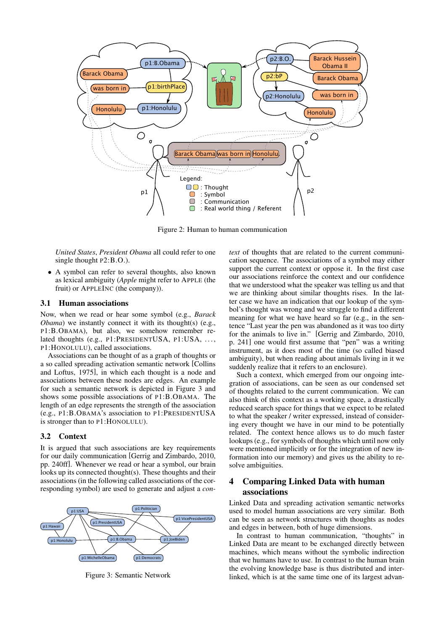

<span id="page-2-0"></span>Figure 2: Human to human communication

*United States*, *President Obama* all could refer to one single thought  $P2:B.O.$ ).

• A symbol can refer to several thoughts, also known as lexical ambiguity (*Apple* might refer to APPLE (the fruit) or APPLEINC (the company)).

#### 3.1 Human associations

Now, when we read or hear some symbol (e.g., *Barack Obama*) we instantly connect it with its thought(s) (e.g., P1:B.OBAMA), but also, we somehow remember related thoughts (e.g., P1:PRESIDENTUSA, P1:USA, ..., P1:HONOLULU), called associations.

Associations can be thought of as a graph of thoughts or a so called spreading activation semantic network [\[Collins](#page-5-0) [and Loftus, 1975\]](#page-5-0), in which each thought is a node and associations between these nodes are edges. An example for such a semantic network is depicted in Figure [3](#page-2-1) and shows some possible associations of P1:B.OBAMA. The length of an edge represents the strength of the association (e.g., P1:B.OBAMA's association to P1:PRESIDENTUSA is stronger than to P1:HONOLULU).

### 3.2 Context

It is argued that such associations are key requirements for our daily communication [\[Gerrig and Zimbardo, 2010,](#page-5-1) pp. 240ff]. Whenever we read or hear a symbol, our brain looks up its connected thought(s). These thoughts and their associations (in the following called associations of the corresponding symbol) are used to generate and adjust a *con-*



<span id="page-2-1"></span>Figure 3: Semantic Network

*text* of thoughts that are related to the current communication sequence. The associations of a symbol may either support the current context or oppose it. In the first case our associations reinforce the context and our confidence that we understood what the speaker was telling us and that we are thinking about similar thoughts rises. In the latter case we have an indication that our lookup of the symbol's thought was wrong and we struggle to find a different meaning for what we have heard so far (e.g., in the sentence "Last year the pen was abandoned as it was too dirty for the animals to live in." [\[Gerrig and Zimbardo, 2010,](#page-5-1) p. 241] one would first assume that "pen" was a writing instrument, as it does most of the time (so called biased ambiguity), but when reading about animals living in it we suddenly realize that it refers to an enclosure).

Such a context, which emerged from our ongoing integration of associations, can be seen as our condensed set of thoughts related to the current communication. We can also think of this context as a working space, a drastically reduced search space for things that we expect to be related to what the speaker / writer expressed, instead of considering every thought we have in our mind to be potentially related. The context hence allows us to do much faster lookups (e.g., for symbols of thoughts which until now only were mentioned implicitly or for the integration of new information into our memory) and gives us the ability to resolve ambiguities.

# 4 Comparing Linked Data with human associations

Linked Data and spreading activation semantic networks used to model human associations are very similar. Both can be seen as network structures with thoughts as nodes and edges in between, both of huge dimensions.

In contrast to human communication, "thoughts" in Linked Data are meant to be exchanged directly between machines, which means without the symbolic indirection that we humans have to use. In contrast to the human brain the evolving knowledge base is thus distributed and interlinked, which is at the same time one of its largest advan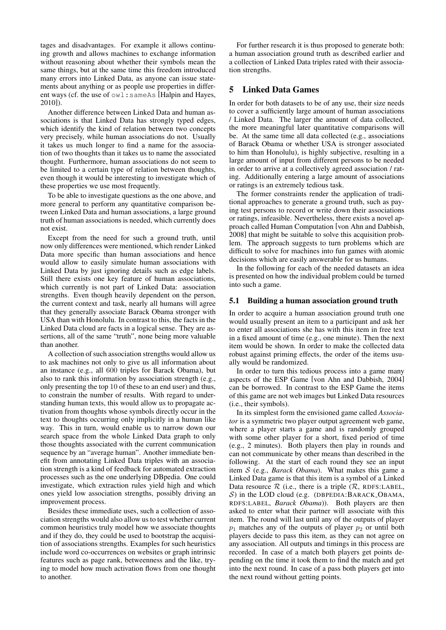tages and disadvantages. For example it allows continuing growth and allows machines to exchange information without reasoning about whether their symbols mean the same things, but at the same time this freedom introduced many errors into Linked Data, as anyone can issue statements about anything or as people use properties in different ways (cf. the use of owl:sameAs [\[Halpin and Hayes,](#page-5-9) [2010\]](#page-5-9)).

Another difference between Linked Data and human associations is that Linked Data has strongly typed edges, which identify the kind of relation between two concepts very precisely, while human associations do not. Usually it takes us much longer to find a name for the association of two thoughts than it takes us to name the associated thought. Furthermore, human associations do not seem to be limited to a certain type of relation between thoughts, even though it would be interesting to investigate which of these properties we use most frequently.

To be able to investigate questions as the one above, and more general to perform any quantitative comparison between Linked Data and human associations, a large ground truth of human associations is needed, which currently does not exist.

Except from the need for such a ground truth, until now only differences were mentioned, which render Linked Data more specific than human associations and hence would allow to easily simulate human associations with Linked Data by just ignoring details such as edge labels. Still there exists one key feature of human associations, which currently is not part of Linked Data: association strengths. Even though heavily dependent on the person, the current context and task, nearly all humans will agree that they generally associate Barack Obama stronger with USA than with Honolulu. In contrast to this, the facts in the Linked Data cloud are facts in a logical sense. They are assertions, all of the same "truth", none being more valuable than another.

A collection of such association strengths would allow us to ask machines not only to give us all information about an instance (e.g., all 600 triples for Barack Obama), but also to rank this information by association strength (e.g., only presenting the top 10 of these to an end user) and thus, to constrain the number of results. With regard to understanding human texts, this would allow us to propagate activation from thoughts whose symbols directly occur in the text to thoughts occurring only implicitly in a human like way. This in turn, would enable us to narrow down our search space from the whole Linked Data graph to only those thoughts associated with the current communication sequence by an "average human". Another immediate benefit from annotating Linked Data triples with an association strength is a kind of feedback for automated extraction processes such as the one underlying DBpedia. One could investigate, which extraction rules yield high and which ones yield low association strengths, possibly driving an improvement process.

Besides these immediate uses, such a collection of association strengths would also allow us to test whether current common heuristics truly model how we associate thoughts and if they do, they could be used to bootstrap the acquisition of associations strengths. Examples for such heuristics include word co-occurrences on websites or graph intrinsic features such as page rank, betweenness and the like, trying to model how much activation flows from one thought to another.

For further research it is thus proposed to generate both: a human association ground truth as described earlier and a collection of Linked Data triples rated with their association strengths.

# 5 Linked Data Games

In order for both datasets to be of any use, their size needs to cover a sufficiently large amount of human associations / Linked Data. The larger the amount of data collected, the more meaningful later quantitative comparisons will be. At the same time all data collected (e.g., associations of Barack Obama or whether USA is stronger associated to him than Honolulu), is highly subjective, resulting in a large amount of input from different persons to be needed in order to arrive at a collectively agreed association / rating. Additionally entering a large amount of associations or ratings is an extremely tedious task.

The former constraints render the application of traditional approaches to generate a ground truth, such as paying test persons to record or write down their associations or ratings, infeasible. Nevertheless, there exists a novel approach called Human Computation [\[von Ahn and Dabbish,](#page-5-2) [2008\]](#page-5-2) that might be suitable to solve this acquisition problem. The approach suggests to turn problems which are difficult to solve for machines into fun games with atomic decisions which are easily answerable for us humans.

In the following for each of the needed datasets an idea is presented on how the individual problem could be turned into such a game.

### 5.1 Building a human association ground truth

In order to acquire a human association ground truth one would usually present an item to a participant and ask her to enter all associations she has with this item in free text in a fixed amount of time (e.g., one minute). Then the next item would be shown. In order to make the collected data robust against priming effects, the order of the items usually would be randomized.

In order to turn this tedious process into a game many aspects of the ESP Game [\[von Ahn and Dabbish, 2004\]](#page-5-5) can be borrowed. In contrast to the ESP Game the items of this game are not web images but Linked Data resources (i.e., their symbols).

In its simplest form the envisioned game called *Associator* is a symmetric two player output agreement web game, where a player starts a game and is randomly grouped with some other player for a short, fixed period of time (e.g., 2 minutes). Both players then play in rounds and can not communicate by other means than described in the following. At the start of each round they see an input item S (e.g., *Barack Obama*). What makes this game a Linked Data game is that this item is a symbol of a Linked Data resource  $R$  (i.e., there is a triple  $(R, RDFS:LABEL, RSEL)$  $S$ ) in the LOD cloud (e.g. (DBPEDIA: BARACK\_OBAMA, RDFS:LABEL, *Barack Obama*)). Both players are then asked to enter what their partner will associate with this item. The round will last until any of the outputs of player  $p_1$  matches any of the outputs of player  $p_2$  or until both players decide to pass this item, as they can not agree on any association. All outputs and timings in this process are recorded. In case of a match both players get points depending on the time it took them to find the match and get into the next round. In case of a pass both players get into the next round without getting points.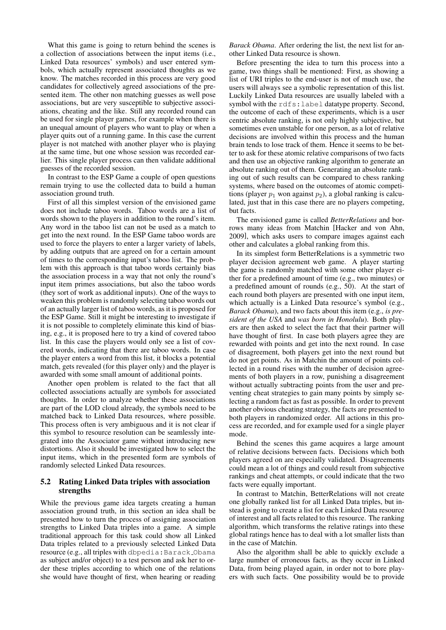What this game is going to return behind the scenes is a collection of associations between the input items (i.e., Linked Data resources' symbols) and user entered symbols, which actually represent associated thoughts as we know. The matches recorded in this process are very good candidates for collectively agreed associations of the presented item. The other non matching guesses as well pose associations, but are very susceptible to subjective associations, cheating and the like. Still any recorded round can be used for single player games, for example when there is an unequal amount of players who want to play or when a player quits out of a running game. In this case the current player is not matched with another player who is playing at the same time, but one whose session was recorded earlier. This single player process can then validate additional guesses of the recorded session.

In contrast to the ESP Game a couple of open questions remain trying to use the collected data to build a human association ground truth.

First of all this simplest version of the envisioned game does not include taboo words. Taboo words are a list of words shown to the players in addition to the round's item. Any word in the taboo list can not be used as a match to get into the next round. In the ESP Game taboo words are used to force the players to enter a larger variety of labels, by adding outputs that are agreed on for a certain amount of times to the corresponding input's taboo list. The problem with this approach is that taboo words certainly bias the association process in a way that not only the round's input item primes associations, but also the taboo words (they sort of work as additional inputs). One of the ways to weaken this problem is randomly selecting taboo words out of an actually larger list of taboo words, as it is proposed for the ESP Game. Still it might be interesting to investigate if it is not possible to completely eliminate this kind of biasing, e.g., it is proposed here to try a kind of covered taboo list. In this case the players would only see a list of covered words, indicating that there are taboo words. In case the player enters a word from this list, it blocks a potential match, gets revealed (for this player only) and the player is awarded with some small amount of additional points.

Another open problem is related to the fact that all collected associations actually are symbols for associated thoughts. In order to analyze whether these associations are part of the LOD cloud already, the symbols need to be matched back to Linked Data resources, where possible. This process often is very ambiguous and it is not clear if this symbol to resource resolution can be seamlessly integrated into the Associator game without introducing new distortions. Also it should be investigated how to select the input items, which in the presented form are symbols of randomly selected Linked Data resources.

### 5.2 Rating Linked Data triples with association strengths

While the previous game idea targets creating a human association ground truth, in this section an idea shall be presented how to turn the process of assigning association strengths to Linked Data triples into a game. A simple traditional approach for this task could show all Linked Data triples related to a previously selected Linked Data resource (e.g., all triples with dbpedia:Barack Obama as subject and/or object) to a test person and ask her to order these triples according to which one of the relations she would have thought of first, when hearing or reading

*Barack Obama*. After ordering the list, the next list for another Linked Data resource is shown.

Before presenting the idea to turn this process into a game, two things shall be mentioned: First, as showing a list of URI triples to the end-user is not of much use, the users will always see a symbolic representation of this list. Luckily Linked Data resources are usually labeled with a symbol with the rdfs:label datatype property. Second, the outcome of each of these experiments, which is a user centric absolute ranking, is not only highly subjective, but sometimes even unstable for one person, as a lot of relative decisions are involved within this process and the human brain tends to lose track of them. Hence it seems to be better to ask for these atomic relative comparisons of two facts and then use an objective ranking algorithm to generate an absolute ranking out of them. Generating an absolute ranking out of such results can be compared to chess ranking systems, where based on the outcomes of atomic competitions (player  $p_1$  won against  $p_2$ ), a global ranking is calculated, just that in this case there are no players competing, but facts.

The envisioned game is called *BetterRelations* and borrows many ideas from Matchin [\[Hacker and von Ahn,](#page-5-7) [2009\]](#page-5-7), which asks users to compare images against each other and calculates a global ranking from this.

In its simplest form BetterRelations is a symmetric two player decision agreement web game. A player starting the game is randomly matched with some other player either for a predefined amount of time (e.g., two minutes) or a predefined amount of rounds (e.g., 50). At the start of each round both players are presented with one input item, which actually is a Linked Data resource's symbol (e.g., *Barack Obama*), and two facts about this item (e.g., *is president of the USA* and *was born in Honolulu*). Both players are then asked to select the fact that their partner will have thought of first. In case both players agree they are rewarded with points and get into the next round. In case of disagreement, both players get into the next round but do not get points. As in Matchin the amount of points collected in a round rises with the number of decision agreements of both players in a row, punishing a disagreement without actually subtracting points from the user and preventing cheat strategies to gain many points by simply selecting a random fact as fast as possible. In order to prevent another obvious cheating strategy, the facts are presented to both players in randomized order. All actions in this process are recorded, and for example used for a single player mode.

Behind the scenes this game acquires a large amount of relative decisions between facts. Decisions which both players agreed on are especially validated. Disagreements could mean a lot of things and could result from subjective rankings and cheat attempts, or could indicate that the two facts were equally important.

In contrast to Matchin, BetterRelations will not create one globally ranked list for all Linked Data triples, but instead is going to create a list for each Linked Data resource of interest and all facts related to this resource. The ranking algorithm, which transforms the relative ratings into these global ratings hence has to deal with a lot smaller lists than in the case of Matchin.

Also the algorithm shall be able to quickly exclude a large number of erroneous facts, as they occur in Linked Data, from being played again, in order not to bore players with such facts. One possibility would be to provide